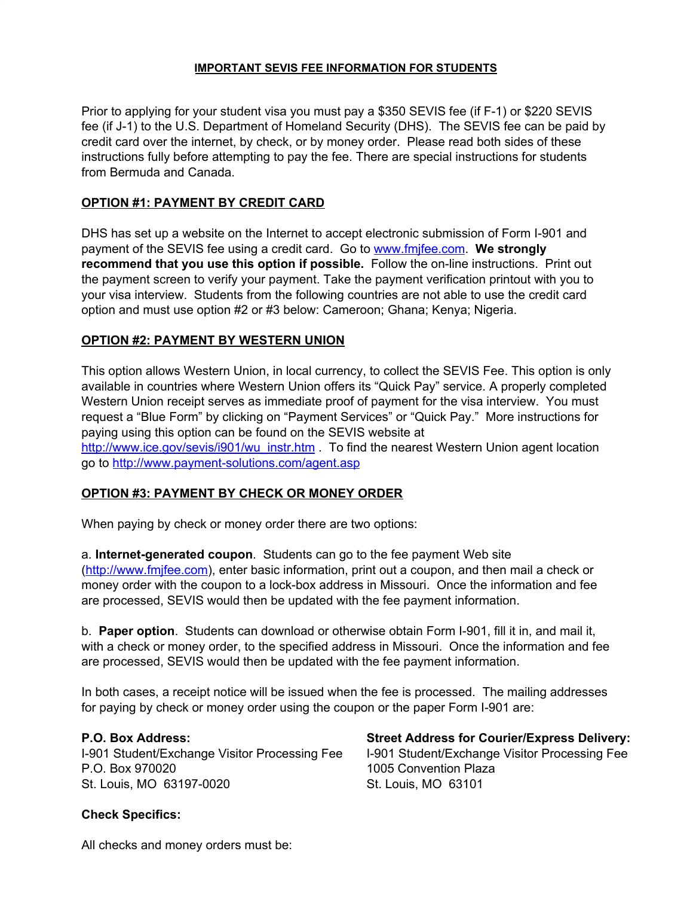### **IMPORTANT SEVIS FEE INFORMATION FOR STUDENTS**

Prior to applying for your student visa you must pay a \$350 SEVIS fee (if F-1) or \$220 SEVIS fee (if J-1) to the U.S. Department of Homeland Security (DHS). The SEVIS fee can be paid by credit card over the internet, by check, or by money order. Please read both sides of these instructions fully before attempting to pay the fee. There are special instructions for students from Bermuda and Canada.

# **OPTION #1: PAYMENT BY CREDIT CARD**

DHS has set up a website on the Internet to accept electronic submission of Form I-901 and payment of the SEVIS fee using a credit card. Go to [www.fmjfee.com](http://www.fmjfee.com/). **We strongly recommend that you use this option if possible.** Follow the on-line instructions. Print out the payment screen to verify your payment. Take the payment verification printout with you to your visa interview. Students from the following countries are not able to use the credit card option and must use option #2 or #3 below: Cameroon; Ghana; Kenya; Nigeria.

# **OPTION #2: PAYMENT BY WESTERN UNION**

This option allows Western Union, in local currency, to collect the SEVIS Fee. This option is only available in countries where Western Union offers its "Quick Pay" service. A properly completed Western Union receipt serves as immediate proof of payment for the visa interview. You must request a "Blue Form" by clicking on "Payment Services" or "Quick Pay." More instructions for paying using this option can be found on the SEVIS website at [http://www.ice.gov/sevis/i901/wu\\_instr.htm](http://www.ice.gov/sevis/i901/wu_instr.htm) . To find the nearest Western Union agent location go to <http://www.payment-solutions.com/agent.asp>

# **OPTION #3: PAYMENT BY CHECK OR MONEY ORDER**

When paying by check or money order there are two options:

a. **Internet-generated coupon**. Students can go to the fee payment Web site ([http://www.fmjfee.com\)](http://www.fmjfee.com/), enter basic information, print out a coupon, and then mail a check or money order with the coupon to a lock-box address in Missouri. Once the information and fee are processed, SEVIS would then be updated with the fee payment information.

b. **Paper option**. Students can download or otherwise obtain Form I-901, fill it in, and mail it, with a check or money order, to the specified address in Missouri. Once the information and fee are processed, SEVIS would then be updated with the fee payment information.

In both cases, a receipt notice will be issued when the fee is processed. The mailing addresses for paying by check or money order using the coupon or the paper Form I-901 are:

P.O. Box 970020 1005 Convention Plaza St. Louis, MO 63197-0020 St. Louis, MO 63101

#### **P.O. Box Address: Street Address for Courier/Express Delivery:** I-901 Student/Exchange Visitor Processing Fee I-901 Student/Exchange Visitor Processing Fee

#### **Check Specifics:**

All checks and money orders must be: